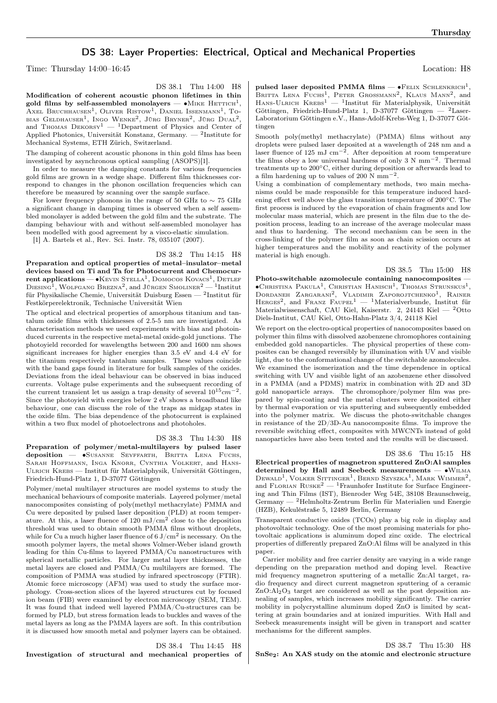# DS 38: Layer Properties: Electrical, Optical and Mechanical Properties

Time: Thursday 14:00–16:45 Location: H8

DS 38.1 Thu 14:00 H8

Modification of coherent acoustic phonon lifetimes in thin gold films by self-assembled monolayers —  $\bullet$ Mike Hettich $^1,$ AXEL BRUCHHAUSEN<sup>1</sup>, OLIVER RISTOW<sup>1</sup>, DANIEL ISSENMANN<sup>1</sup>, TObias Geldhauser<sup>1</sup>, Ingo Wenke<sup>2</sup>, Jürg Bryner<sup>2</sup>, Jürg Dual<sup>2</sup>, and Thomas  $Des{P}^{i}$  — <sup>1</sup>Department of Physics and Center of Applied Photonics, Universität Konstanz, Germany. — <sup>2</sup>Institute for Mechanical Systems, ETH Zürich, Switzerland.

The damping of coherent acoustic phonons in thin gold films has been investigated by asynchronous optical sampling (ASOPS)[1].

In order to measure the damping constants for various frequencies gold films are grown in a wedge shape. Different film thicknesses correspond to changes in the phonon oscillation frequencies which can therefore be measured by scanning over the sample surface.

For lower frequency phonons in the range of 50 GHz to  $\sim$  75 GHz a significant change in damping times is observed when a self assembled monolayer is added between the gold film and the substrate. The damping behaviour with and without self-assembled monolayer has been modelled with good agreement by a visco-elastic simulation.

[1] A. Bartels et al., Rev. Sci. Instr. 78, 035107 (2007).

DS 38.2 Thu 14:15 H8 Preparation and optical properties of metal–insulator–metal devices based on Ti and Ta for Photocurrent and Chemocur- $\mathbf{r}$ ent applications — • $\mathrm{K}$ evin Stella<sup>1</sup>, Domocos Kovacs<sup>1</sup>, Detlef  $\rm{D}$ iesing<sup>1</sup>, Wolfgang Brezna<sup>2</sup>, and Jürgen Smoliner<sup>2</sup> — <sup>1</sup>Institut für Physikalische Chemie, Universität Duisburg Essen — <sup>2</sup> Institut für Festkörperelektronik, Technische Universität Wien

The optical and electrical properties of amorphous titanium and tantalum oxide films with thicknesses of 2.5-5 nm are investigated. As characterisation methods we used experiments with bias and photoinduced currents in the respective metal-metal oxide-gold junctions. The photoyield recorded for wavelengths between 200 and 1600 nm shows significant increases for higher energies than 3.5 eV and 4.4 eV for the titanium respectively tantalum samples. These values coincide with the band gaps found in literature for bulk samples of the oxides. Deviations from the ideal behaviour can be observed in bias induced currents. Voltage pulse experiments and the subsequent recording of the current transient let us assign a trap density of several  $10^{15}$  cm<sup>-2</sup>. Since the photoyield with energies below 2 eV shows a broadband like behaviour, one can discuss the role of the traps as midgap states in the oxide film. The bias dependence of the photocurrent is explained within a two flux model of photoelectrons and photoholes.

### DS 38.3 Thu 14:30 H8

Preparation of polymer/metal-multilayers by pulsed laser deposition — •SUSANNE SEYFFARTH, BRITTA LENA FUCHS, Sarah Hoffmann, Inga Knorr, Cynthia Volkert, and Hans-Ulrich Krebs — Institut für Materialphysik, Universität Göttingen, Friedrich-Hund-Platz 1, D-37077 Göttingen

Polymer/metal multilayer structures are model systems to study the mechanical behaviours of composite materials. Layered polymer/metal nanocomposites consisting of poly(methyl methacrylate) PMMA and Cu were deposited by pulsed laser deposition (PLD) at room temperature. At this, a laser fluence of  $120 \text{ mJ/cm}^2$  close to the deposition threshold was used to obtain smooth PMMA films without droplets, while for Cu a much higher laser fluence of 6  $J/cm<sup>2</sup>$  is necessary. On the smooth polymer layers, the metal shows Volmer-Weber island growth leading for thin Cu-films to layered PMMA/Cu nanostructures with spherical metallic particles. For larger metal layer thicknesses, the metal layers are closed and PMMA/Cu multilayers are formed. The composition of PMMA was studied by infrared spectroscopy (FTIR). Atomic force microscopy (AFM) was used to study the surface morphology. Cross-section slices of the layered structures cut by focused ion beam (FIB) were examined by electron microscopy (SEM, TEM). It was found that indeed well layered PMMA/Cu-structures can be formed by PLD, but stress formation leads to buckles and waves of the metal layers as long as the PMMA layers are soft. In this contribution it is discussed how smooth metal and polymer layers can be obtained.

DS 38.4 Thu 14:45 H8 Investigation of structural and mechanical properties of

pulsed laser deposited PMMA films —  $\bullet$ FELIX SCHLENKRICH<sup>1</sup>, BRITTA LENA FUCHS<sup>1</sup>, PETER GROSSMANN<sup>2</sup>, KLAUS MANN<sup>2</sup>, and HANS-ULRICH KREBS<sup>1</sup> — <sup>1</sup>Institut für Materialphysik, Universität Göttingen, Friedrich-Hund-Platz 1, D-37077 Göttingen —  ${}^{2}$ Laser-Laboratorium Göttingen e.V., Hans-Adolf-Krebs-Weg 1, D-37077 Göttingen

Smooth poly(methyl methacrylate) (PMMA) films without any droplets were pulsed laser deposited at a wavelength of 248 nm and a laser fluence of 125 mJ cm−<sup>2</sup> . After deposition at room temperature the films obey a low universal hardness of only  $3 \text{ N mm}^{-2}$ . Thermal treatments up to 200∘C, either during deposition or afterwards lead to a film hardening up to values of 200 N mm−<sup>2</sup> .

Using a combination of complementary methods, two main mechanisms could be made responsible for this temperature induced hardening effect well above the glass transition temperature of 200∘C. The first process is induced by the evaporation of chain fragments and low molecular mass material, which are present in the film due to the deposition process, leading to an increase of the average molecular mass and thus to hardening. The second mechanism can be seen in the cross-linking of the polymer film as soon as chain scission occurs at higher temperatures and the mobility and reactivity of the polymer material is high enough.

## DS 38.5 Thu 15:00 H8

Photo-switchable azomolecule containing nanocomposites -∙Christina Pakula<sup>1</sup> , Christian Hanisch<sup>1</sup> , Thomas Strunskus<sup>1</sup> , Dordaneh Zargarani<sup>2</sup>, Vladimir Zaporojtchenko<sup>1</sup>, Rainer HERGES<sup>2</sup>, and FRANZ FAUPEL<sup>1</sup> - <sup>1</sup>Materialverbunde, Institut für Materialwissenschaft, CAU Kiel, Kaiserstr. 2, 24143 Kiel — <sup>2</sup>Otto Diels-Institut, CAU Kiel, Otto-Hahn-Platz 3/4, 24118 Kiel

We report on the electro-optical properties of nanocomposites based on polymer thin films with dissolved azobenzene chromophores containing embedded gold nanoparticles. The physical properties of these composites can be changed reversibly by illumination with UV and visible light, due to the conformational change of the switchable azomolecules. We examined the isomerization and the time dependence in optical switching with UV and visible light of an azobenzene ether dissolved in a PMMA (and a PDMS) matrix in combination with 2D and 3D gold nanoparticle arrays. The chromophore/polymer film was prepared by spin-coating and the metal clusters were deposited either by thermal evaporation or via sputtering and subsequently embedded into the polymer matrix. We discuss the photo-switchable changes in resistance of the 2D/3D-Au nanocomposite films. To improve the reversible switching effect, composites with MWCNTs instead of gold nanoparticles have also been tested and the results will be discussed.

#### DS 38.6 Thu 15:15 H8

Electrical properties of magnetron sputtered ZnO:Al samples determined by Hall and Seebeck measurements — ∙Wilma DEWALD<sup>1</sup>, VOLKER SITTINGER<sup>1</sup>, BERND SZYSZKA<sup>1</sup>, MARK WIMMER<sup>2</sup>, and FLORIAN  ${\rm Russk}\texttt{E}^2$  —  $^1\rm{Fr}$  unhofer Institute for Surface Engineering and Thin Films (IST), Bienroder Weg 54E, 38108 Braunschweig, Germany — <sup>2</sup>Helmholtz-Zentrum Berlin für Materialien und Energie (HZB), Kekuléstraße 5, 12489 Berlin, Germany

Transparent conductive oxides (TCOs) play a big role in display and photovoltaic technology. One of the most promising materials for photovoltaic applications is aluminum doped zinc oxide. The electrical properties of differently prepared ZnO:Al films will be analyzed in this paper.

Carrier mobility and free carrier density are varying in a wide range depending on the preparation method and doping level. Reactive mid frequency magnetron sputtering of a metallic Zn:Al target, radio frequency and direct current magnetron sputtering of a ceramic  $ZnO:Al<sub>2</sub>O<sub>3</sub>$  target are considered as well as the post deposition annealing of samples, which increases mobility significantly. The carrier mobility in polycrystalline aluminum doped ZnO is limited by scattering at grain boundaries and at ionized impurities. With Hall and Seebeck measurements insight will be given in transport and scatter mechanisms for the different samples.

## DS 38.7 Thu 15:30 H8 SnSe2: An XAS study on the atomic and electronic structure